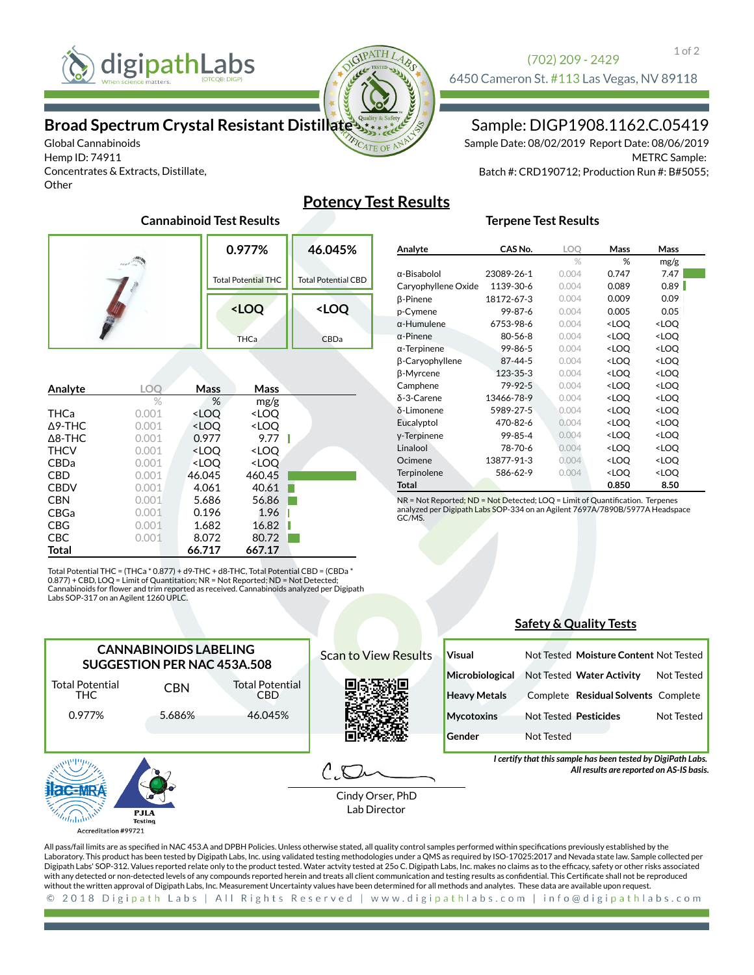

Global Cannabinoids Hemp ID: 74911

**Other** 

Concentrates & Extracts, Distillate,



### Sample: DIGP1908.1162.C.05419

METRC Sample: Batch #: CRD190712; Production Run #: B#5055; Sample Date: 08/02/2019 Report Date: 08/06/2019

## **Potency Test Results**

### **0.977%** Total Potential THC **46.045%** Total Potential CBD **<LOQ THCa <LOQ** CBDa

| Analyte           | LOC   | Mass                                                     | Mass                         |  |
|-------------------|-------|----------------------------------------------------------|------------------------------|--|
|                   | $\%$  | %                                                        | mg/g                         |  |
| THCa              | 0.001 | <loo< th=""><th><loq< th=""><th></th></loq<></th></loo<> | <loq< th=""><th></th></loq<> |  |
| $\Delta$ 9-THC    | 0.001 | <loo< th=""><th><loo< th=""><th></th></loo<></th></loo<> | <loo< th=""><th></th></loo<> |  |
| $\triangle$ 8-THC | 0.001 | 0.977                                                    | 9.77                         |  |
| <b>THCV</b>       | 0.001 | <loo< th=""><th><loo< th=""><th></th></loo<></th></loo<> | <loo< th=""><th></th></loo<> |  |
| <b>CBDa</b>       | 0.001 | <loo< th=""><th><loo< th=""><th></th></loo<></th></loo<> | <loo< th=""><th></th></loo<> |  |
| <b>CBD</b>        | 0.001 | 46.045                                                   | 460.45                       |  |
| <b>CBDV</b>       | 0.001 | 4.061                                                    | 40.61                        |  |
| <b>CBN</b>        | 0.001 | 5.686                                                    | 56.86                        |  |
| <b>CBGa</b>       | 0.001 | 0.196                                                    | 1.96                         |  |
| CBG               | 0.001 | 1.682                                                    | 16.82                        |  |
| <b>CBC</b>        | 0.001 | 8.072                                                    | 80.72                        |  |
| Total             |       | 66.717                                                   | 667.17                       |  |

Total Potential THC = (THCa \* 0.877) + d9-THC + d8-THC, Total Potential CBD = (CBDa \* 0.877) + CBD, LOQ = Limit of Quantitation; NR = Not Reported; ND = Not Detected;<br>Cannabinoids for flower and trim reported as received. Cannabinoids analyzed per Digipath Labs SOP-317 on an Agilent 1260 UPLC.

| Analyte             | CAS No.       | LOO            | <b>Mass</b>                                              | Mass                         |  |
|---------------------|---------------|----------------|----------------------------------------------------------|------------------------------|--|
|                     |               | $\frac{0}{20}$ | %                                                        | mg/g                         |  |
| $\alpha$ -Bisabolol | 23089-26-1    | 0.004          | 0.747                                                    | 7.47                         |  |
| Caryophyllene Oxide | 1139-30-6     | 0.004          | 0.089                                                    | 0.89                         |  |
| <b>B-Pinene</b>     | 18172-67-3    | 0.004          | 0.009                                                    | 0.09                         |  |
| p-Cymene            | 99-87-6       | 0.004          | 0.005                                                    | 0.05                         |  |
| $\alpha$ -Humulene  | 6753-98-6     | 0.004          | <loq< td=""><td><loq< td=""><td></td></loq<></td></loq<> | <loq< td=""><td></td></loq<> |  |
| $\alpha$ -Pinene    | $80 - 56 - 8$ | 0.004          | <loq< td=""><td><loq< td=""><td></td></loq<></td></loq<> | <loq< td=""><td></td></loq<> |  |
| $\alpha$ -Terpinene | 99-86-5       | 0.004          | <loq< td=""><td><loq< td=""><td></td></loq<></td></loq<> | <loq< td=""><td></td></loq<> |  |
| β-Caryophyllene     | 87-44-5       | 0.004          | <loq< td=""><td><loq< td=""><td></td></loq<></td></loq<> | <loq< td=""><td></td></loq<> |  |
| β-Myrcene           | 123-35-3      | 0.004          | <loq< td=""><td><loq< td=""><td></td></loq<></td></loq<> | <loq< td=""><td></td></loq<> |  |
| Camphene            | 79-92-5       | 0.004          | <loq< td=""><td><loq< td=""><td></td></loq<></td></loq<> | <loq< td=""><td></td></loq<> |  |
| δ-3-Carene          | 13466-78-9    | 0.004          | <loq< td=""><td><loq< td=""><td></td></loq<></td></loq<> | <loq< td=""><td></td></loq<> |  |
| δ-Limonene          | 5989-27-5     | 0.004          | <loq< td=""><td><loq< td=""><td></td></loq<></td></loq<> | <loq< td=""><td></td></loq<> |  |
| Eucalyptol          | 470-82-6      | 0.004          | <loo< td=""><td><loq< td=""><td></td></loq<></td></loo<> | <loq< td=""><td></td></loq<> |  |
| y-Terpinene         | 99-85-4       | 0.004          | <loq< td=""><td><loq< td=""><td></td></loq<></td></loq<> | <loq< td=""><td></td></loq<> |  |
| Linalool            | 78-70-6       | 0.004          | <loq< td=""><td><loq< td=""><td></td></loq<></td></loq<> | <loq< td=""><td></td></loq<> |  |
| Ocimene             | 13877-91-3    | 0.004          | <loq< td=""><td><loq< td=""><td></td></loq<></td></loq<> | <loq< td=""><td></td></loq<> |  |
| Terpinolene         | 586-62-9      | 0.004          | <loq< td=""><td><loq< td=""><td></td></loq<></td></loq<> | <loq< td=""><td></td></loq<> |  |
| Total               |               |                | 0.850                                                    | 8.50                         |  |

**Terpene Test Results**

NR = Not Reported; ND = Not Detected; LOQ = Limit of Quantification. Terpenes analyzed per Digipath Lab<mark>s S</mark>OP-334 on an Agilent 7697A/7890B/5977A Headspace<br>GC/MS.

### **Safety & Quality Tests**



Accreditation #99721

All pass/fail limits are as specified in NAC 453.A and DPBH Policies. Unless otherwise stated, all quality control samples performed within specifications previously established by the Laboratory. This product has been tested by Digipath Labs, Inc. using validated testing methodologies under a QMS as required by ISO-17025:2017 and Nevada state law. Sample collected per Digipath Labs' SOP-312. Values reported relate only to the product tested. Water actvity tested at 25o C. Digipath Labs, Inc. makes no claims as to the efficacy, safety or other risks associated with any detected or non-detected levels of any compounds reported herein and treats all client communication and testing results as confidential. This Certificate shall not be reproduced without the written approval of Digipath Labs, Inc. Measurement Uncertainty values have been determined for all methods and analytes. These data are available upon request.2018 Digipath Labs | All Rights Reserved | www.digipathlabs.com | info@digipathlabs.com  $\odot$ 

1 of 2

# **Cannabinoid Test Results**